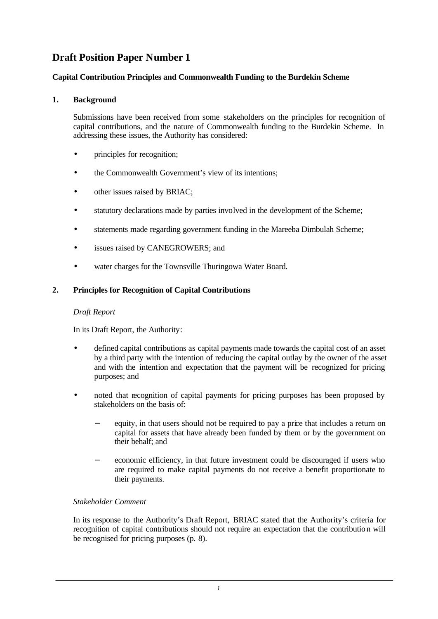# **Draft Position Paper Number 1**

# **Capital Contribution Principles and Commonwealth Funding to the Burdekin Scheme**

# **1. Background**

Submissions have been received from some stakeholders on the principles for recognition of capital contributions, and the nature of Commonwealth funding to the Burdekin Scheme. In addressing these issues, the Authority has considered:

- principles for recognition;
- the Commonwealth Government's view of its intentions;
- other issues raised by BRIAC;
- statutory declarations made by parties involved in the development of the Scheme;
- statements made regarding government funding in the Mareeba Dimbulah Scheme;
- issues raised by CANEGROWERS; and
- water charges for the Townsville Thuringowa Water Board.

# **2. Principles for Recognition of Capital Contributions**

## *Draft Report*

In its Draft Report, the Authority:

- defined capital contributions as capital payments made towards the capital cost of an asset by a third party with the intention of reducing the capital outlay by the owner of the asset and with the intention and expectation that the payment will be recognized for pricing purposes; and
- noted that recognition of capital payments for pricing purposes has been proposed by stakeholders on the basis of:
	- equity, in that users should not be required to pay a price that includes a return on capital for assets that have already been funded by them or by the government on their behalf; and
	- economic efficiency, in that future investment could be discouraged if users who are required to make capital payments do not receive a benefit proportionate to their payments.

## *Stakeholder Comment*

In its response to the Authority's Draft Report, BRIAC stated that the Authority's criteria for recognition of capital contributions should not require an expectation that the contribution will be recognised for pricing purposes (p. 8).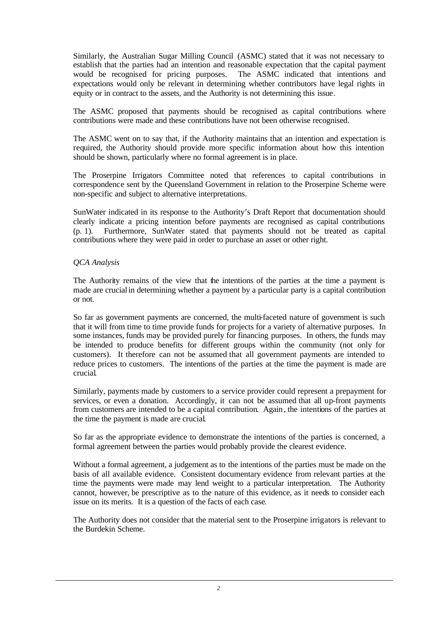Similarly, the Australian Sugar Milling Council (ASMC) stated that it was not necessary to establish that the parties had an intention and reasonable expectation that the capital payment would be recognised for pricing purposes. The ASMC indicated that intentions and expectations would only be relevant in determining whether contributors have legal rights in equity or in contract to the assets, and the Authority is not determining this issue.

The ASMC proposed that payments should be recognised as capital contributions where contributions were made and these contributions have not been otherwise recognised.

The ASMC went on to say that, if the Authority maintains that an intention and expectation is required, the Authority should provide more specific information about how this intention should be shown, particularly where no formal agreement is in place.

The Proserpine Irrigators Committee noted that references to capital contributions in correspondence sent by the Queensland Government in relation to the Proserpine Scheme were non-specific and subject to alternative interpretations.

SunWater indicated in its response to the Authority's Draft Report that documentation should clearly indicate a pricing intention before payments are recognised as capital contributions (p. 1). Furthermore, SunWater stated that payments should not be treated as capital contributions where they were paid in order to purchase an asset or other right.

## *QCA Analysis*

The Authority remains of the view that the intentions of the parties at the time a payment is made are crucial in determining whether a payment by a particular party is a capital contribution or not.

So far as government payments are concerned, the multi-faceted nature of government is such that it will from time to time provide funds for projects for a variety of alternative purposes. In some instances, funds may be provided purely for financing purposes. In others, the funds may be intended to produce benefits for different groups within the community (not only for customers). It therefore can not be assumed that all government payments are intended to reduce prices to customers. The intentions of the parties at the time the payment is made are crucial.

Similarly, payments made by customers to a service provider could represent a prepayment for services, or even a donation. Accordingly, it can not be assumed that all up-front payments from customers are intended to be a capital contribution. Again, the intentions of the parties at the time the payment is made are crucial.

So far as the appropriate evidence to demonstrate the intentions of the parties is concerned, a formal agreement between the parties would probably provide the clearest evidence.

Without a formal agreement, a judgement as to the intentions of the parties must be made on the basis of all available evidence. Consistent documentary evidence from relevant parties at the time the payments were made may lend weight to a particular interpretation. The Authority cannot, however, be prescriptive as to the nature of this evidence, as it needs to consider each issue on its merits. It is a question of the facts of each case.

The Authority does not consider that the material sent to the Proserpine irrigators is relevant to the Burdekin Scheme.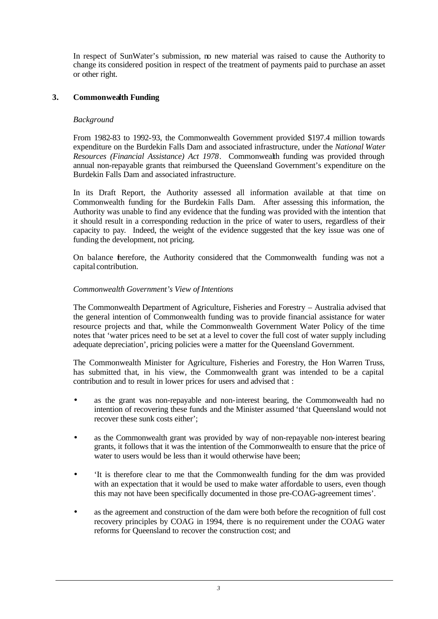In respect of SunWater's submission, no new material was raised to cause the Authority to change its considered position in respect of the treatment of payments paid to purchase an asset or other right.

# **3. Commonwealth Funding**

## *Background*

From 1982-83 to 1992-93, the Commonwealth Government provided \$197.4 million towards expenditure on the Burdekin Falls Dam and associated infrastructure, under the *National Water Resources (Financial Assistance) Act 1978*. Commonwealth funding was provided through annual non-repayable grants that reimbursed the Queensland Government's expenditure on the Burdekin Falls Dam and associated infrastructure.

In its Draft Report, the Authority assessed all information available at that time on Commonwealth funding for the Burdekin Falls Dam. After assessing this information, the Authority was unable to find any evidence that the funding was provided with the intention that it should result in a corresponding reduction in the price of water to users, regardless of their capacity to pay. Indeed, the weight of the evidence suggested that the key issue was one of funding the development, not pricing.

On balance therefore, the Authority considered that the Commonwealth funding was not a capital contribution.

## *Commonwealth Government's View of Intentions*

The Commonwealth Department of Agriculture, Fisheries and Forestry – Australia advised that the general intention of Commonwealth funding was to provide financial assistance for water resource projects and that, while the Commonwealth Government Water Policy of the time notes that 'water prices need to be set at a level to cover the full cost of water supply including adequate depreciation', pricing policies were a matter for the Queensland Government.

The Commonwealth Minister for Agriculture, Fisheries and Forestry, the Hon Warren Truss, has submitted that, in his view, the Commonwealth grant was intended to be a capital contribution and to result in lower prices for users and advised that :

- as the grant was non-repayable and non-interest bearing, the Commonwealth had no intention of recovering these funds and the Minister assumed 'that Queensland would not recover these sunk costs either';
- as the Commonwealth grant was provided by way of non-repayable non-interest bearing grants, it follows that it was the intention of the Commonwealth to ensure that the price of water to users would be less than it would otherwise have been:
- 'It is therefore clear to me that the Commonwealth funding for the dam was provided with an expectation that it would be used to make water affordable to users, even though this may not have been specifically documented in those pre-COAG-agreement times'.
- as the agreement and construction of the dam were both before the recognition of full cost recovery principles by COAG in 1994, there is no requirement under the COAG water reforms for Queensland to recover the construction cost; and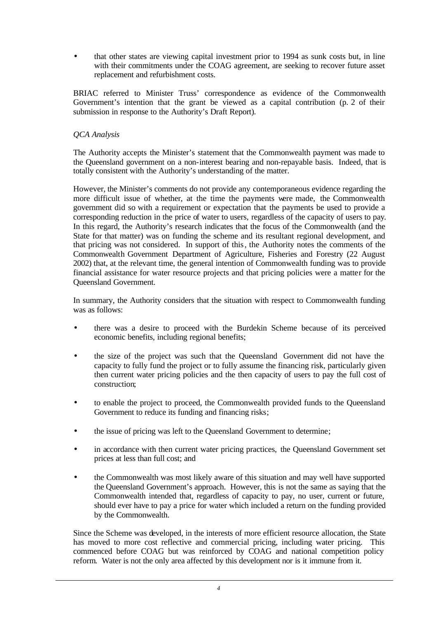• that other states are viewing capital investment prior to 1994 as sunk costs but, in line with their commitments under the COAG agreement, are seeking to recover future asset replacement and refurbishment costs.

BRIAC referred to Minister Truss' correspondence as evidence of the Commonwealth Government's intention that the grant be viewed as a capital contribution (p. 2 of their submission in response to the Authority's Draft Report).

# *QCA Analysis*

The Authority accepts the Minister's statement that the Commonwealth payment was made to the Queensland government on a non-interest bearing and non-repayable basis. Indeed, that is totally consistent with the Authority's understanding of the matter.

However, the Minister's comments do not provide any contemporaneous evidence regarding the more difficult issue of whether, at the time the payments were made, the Commonwealth government did so with a requirement or expectation that the payments be used to provide a corresponding reduction in the price of water to users, regardless of the capacity of users to pay. In this regard, the Authority's research indicates that the focus of the Commonwealth (and the State for that matter) was on funding the scheme and its resultant regional development, and that pricing was not considered. In support of this, the Authority notes the comments of the Commonwealth Government Department of Agriculture, Fisheries and Forestry (22 August 2002) that, at the relevant time, the general intention of Commonwealth funding was to provide financial assistance for water resource projects and that pricing policies were a matter for the Queensland Government.

In summary, the Authority considers that the situation with respect to Commonwealth funding was as follows:

- there was a desire to proceed with the Burdekin Scheme because of its perceived economic benefits, including regional benefits;
- the size of the project was such that the Queensland Government did not have the capacity to fully fund the project or to fully assume the financing risk, particularly given then current water pricing policies and the then capacity of users to pay the full cost of construction;
- to enable the project to proceed, the Commonwealth provided funds to the Queensland Government to reduce its funding and financing risks;
- the issue of pricing was left to the Queensland Government to determine;
- in accordance with then current water pricing practices, the Queensland Government set prices at less than full cost; and
- the Commonwealth was most likely aware of this situation and may well have supported the Queensland Government's approach. However, this is not the same as saying that the Commonwealth intended that, regardless of capacity to pay, no user, current or future, should ever have to pay a price for water which included a return on the funding provided by the Commonwealth.

Since the Scheme was developed, in the interests of more efficient resource allocation, the State has moved to more cost reflective and commercial pricing, including water pricing. This commenced before COAG but was reinforced by COAG and national competition policy reform. Water is not the only area affected by this development nor is it immune from it.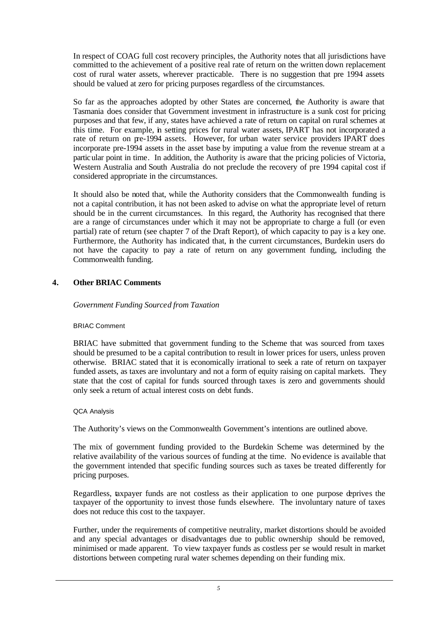In respect of COAG full cost recovery principles, the Authority notes that all jurisdictions have committed to the achievement of a positive real rate of return on the written down replacement cost of rural water assets, wherever practicable. There is no suggestion that pre 1994 assets should be valued at zero for pricing purposes regardless of the circumstances.

So far as the approaches adopted by other States are concerned, the Authority is aware that Tasmania does consider that Government investment in infrastructure is a sunk cost for pricing purposes and that few, if any, states have achieved a rate of return on capital on rural schemes at this time. For example, in setting prices for rural water assets, IPART has not incorporated a rate of return on pre-1994 assets. However, for urban water service providers IPART does incorporate pre-1994 assets in the asset base by imputing a value from the revenue stream at a particular point in time. In addition, the Authority is aware that the pricing policies of Victoria, Western Australia and South Australia do not preclude the recovery of pre 1994 capital cost if considered appropriate in the circumstances.

It should also be noted that, while the Authority considers that the Commonwealth funding is not a capital contribution, it has not been asked to advise on what the appropriate level of return should be in the current circumstances. In this regard, the Authority has recognised that there are a range of circumstances under which it may not be appropriate to charge a full (or even partial) rate of return (see chapter 7 of the Draft Report), of which capacity to pay is a key one. Furthermore, the Authority has indicated that, in the current circumstances, Burdekin users do not have the capacity to pay a rate of return on any government funding, including the Commonwealth funding.

# **4. Other BRIAC Comments**

## *Government Funding Sourced from Taxation*

### BRIAC Comment

BRIAC have submitted that government funding to the Scheme that was sourced from taxes should be presumed to be a capital contribution to result in lower prices for users, unless proven otherwise. BRIAC stated that it is economically irrational to seek a rate of return on taxpayer funded assets, as taxes are involuntary and not a form of equity raising on capital markets. They state that the cost of capital for funds sourced through taxes is zero and governments should only seek a return of actual interest costs on debt funds.

## QCA Analysis

The Authority's views on the Commonwealth Government's intentions are outlined above.

The mix of government funding provided to the Burdekin Scheme was determined by the relative availability of the various sources of funding at the time. No evidence is available that the government intended that specific funding sources such as taxes be treated differently for pricing purposes.

Regardless, taxpayer funds are not costless as their application to one purpose deprives the taxpayer of the opportunity to invest those funds elsewhere. The involuntary nature of taxes does not reduce this cost to the taxpayer.

Further, under the requirements of competitive neutrality, market distortions should be avoided and any special advantages or disadvantages due to public ownership should be removed, minimised or made apparent. To view taxpayer funds as costless per se would result in market distortions between competing rural water schemes depending on their funding mix.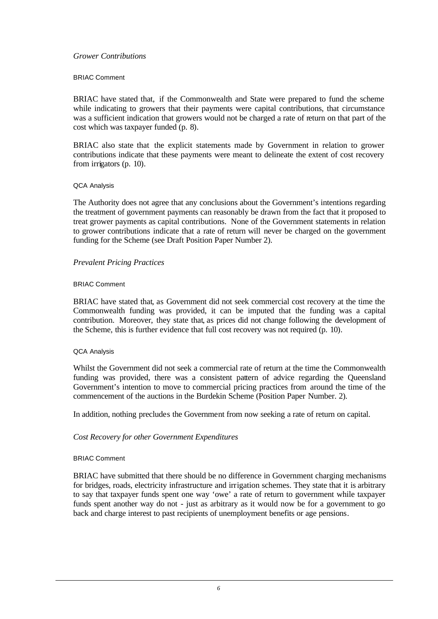### *Grower Contributions*

### BRIAC Comment

BRIAC have stated that, if the Commonwealth and State were prepared to fund the scheme while indicating to growers that their payments were capital contributions, that circumstance was a sufficient indication that growers would not be charged a rate of return on that part of the cost which was taxpayer funded (p. 8).

BRIAC also state that the explicit statements made by Government in relation to grower contributions indicate that these payments were meant to delineate the extent of cost recovery from irrigators (p. 10).

#### QCA Analysis

The Authority does not agree that any conclusions about the Government's intentions regarding the treatment of government payments can reasonably be drawn from the fact that it proposed to treat grower payments as capital contributions. None of the Government statements in relation to grower contributions indicate that a rate of return will never be charged on the government funding for the Scheme (see Draft Position Paper Number 2).

### *Prevalent Pricing Practices*

#### BRIAC Comment

BRIAC have stated that, as Government did not seek commercial cost recovery at the time the Commonwealth funding was provided, it can be imputed that the funding was a capital contribution. Moreover, they state that, as prices did not change following the development of the Scheme, this is further evidence that full cost recovery was not required (p. 10).

#### QCA Analysis

Whilst the Government did not seek a commercial rate of return at the time the Commonwealth funding was provided, there was a consistent pattern of advice regarding the Queensland Government's intention to move to commercial pricing practices from around the time of the commencement of the auctions in the Burdekin Scheme (Position Paper Number. 2).

In addition, nothing precludes the Government from now seeking a rate of return on capital.

### *Cost Recovery for other Government Expenditures*

#### BRIAC Comment

BRIAC have submitted that there should be no difference in Government charging mechanisms for bridges, roads, electricity infrastructure and irrigation schemes. They state that it is arbitrary to say that taxpayer funds spent one way 'owe' a rate of return to government while taxpayer funds spent another way do not - just as arbitrary as it would now be for a government to go back and charge interest to past recipients of unemployment benefits or age pensions.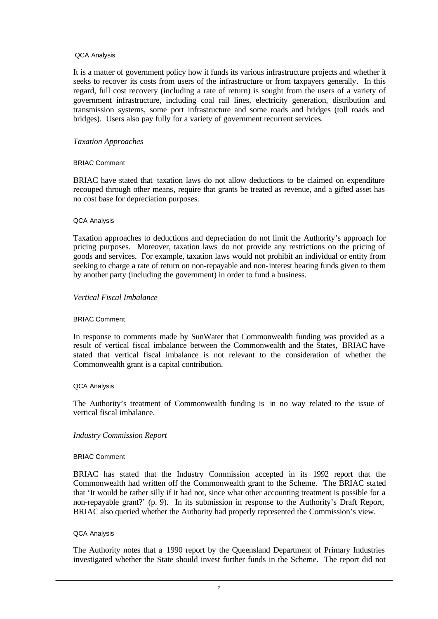#### QCA Analysis

It is a matter of government policy how it funds its various infrastructure projects and whether it seeks to recover its costs from users of the infrastructure or from taxpayers generally. In this regard, full cost recovery (including a rate of return) is sought from the users of a variety of government infrastructure, including coal rail lines, electricity generation, distribution and transmission systems, some port infrastructure and some roads and bridges (toll roads and bridges). Users also pay fully for a variety of government recurrent services.

### *Taxation Approaches*

### BRIAC Comment

BRIAC have stated that taxation laws do not allow deductions to be claimed on expenditure recouped through other means, require that grants be treated as revenue, and a gifted asset has no cost base for depreciation purposes.

#### QCA Analysis

Taxation approaches to deductions and depreciation do not limit the Authority's approach for pricing purposes. Moreover, taxation laws do not provide any restrictions on the pricing of goods and services. For example, taxation laws would not prohibit an individual or entity from seeking to charge a rate of return on non-repayable and non-interest bearing funds given to them by another party (including the government) in order to fund a business.

### *Vertical Fiscal Imbalance*

### BRIAC Comment

In response to comments made by SunWater that Commonwealth funding was provided as a result of vertical fiscal imbalance between the Commonwealth and the States, BRIAC have stated that vertical fiscal imbalance is not relevant to the consideration of whether the Commonwealth grant is a capital contribution.

### QCA Analysis

The Authority's treatment of Commonwealth funding is in no way related to the issue of vertical fiscal imbalance.

### *Industry Commission Report*

### BRIAC Comment

BRIAC has stated that the Industry Commission accepted in its 1992 report that the Commonwealth had written off the Commonwealth grant to the Scheme. The BRIAC stated that 'It would be rather silly if it had not, since what other accounting treatment is possible for a non-repayable grant?' (p. 9). In its submission in response to the Authority's Draft Report, BRIAC also queried whether the Authority had properly represented the Commission's view.

### QCA Analysis

The Authority notes that a 1990 report by the Queensland Department of Primary Industries investigated whether the State should invest further funds in the Scheme. The report did not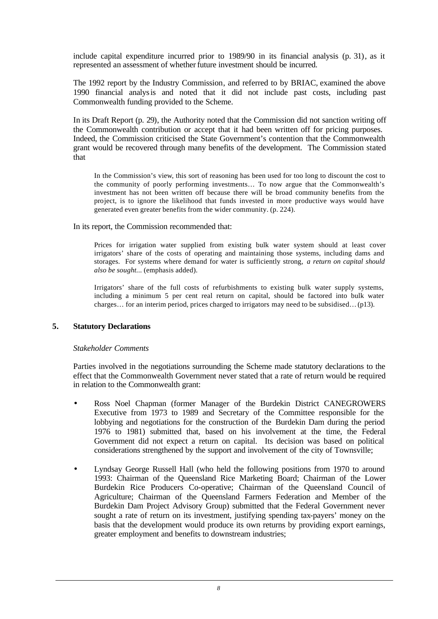include capital expenditure incurred prior to 1989/90 in its financial analysis (p. 31), as it represented an assessment of whether future investment should be incurred.

The 1992 report by the Industry Commission, and referred to by BRIAC, examined the above 1990 financial analysis and noted that it did not include past costs, including past Commonwealth funding provided to the Scheme.

In its Draft Report (p. 29), the Authority noted that the Commission did not sanction writing off the Commonwealth contribution or accept that it had been written off for pricing purposes. Indeed, the Commission criticised the State Government's contention that the Commonwealth grant would be recovered through many benefits of the development. The Commission stated that

In the Commission's view, this sort of reasoning has been used for too long to discount the cost to the community of poorly performing investments… To now argue that the Commonwealth's investment has not been written off because there will be broad community benefits from the project, is to ignore the likelihood that funds invested in more productive ways would have generated even greater benefits from the wider community. (p. 224).

In its report, the Commission recommended that:

Prices for irrigation water supplied from existing bulk water system should at least cover irrigators' share of the costs of operating and maintaining those systems, including dams and storages. For systems where demand for water is sufficiently strong, *a return on capital should also be sought...* (emphasis added).

Irrigators' share of the full costs of refurbishments to existing bulk water supply systems, including a minimum 5 per cent real return on capital, should be factored into bulk water charges… for an interim period, prices charged to irrigators may need to be subsidised…(p13).

## **5. Statutory Declarations**

### *Stakeholder Comments*

Parties involved in the negotiations surrounding the Scheme made statutory declarations to the effect that the Commonwealth Government never stated that a rate of return would be required in relation to the Commonwealth grant:

- Ross Noel Chapman (former Manager of the Burdekin District CANEGROWERS Executive from 1973 to 1989 and Secretary of the Committee responsible for the lobbying and negotiations for the construction of the Burdekin Dam during the period 1976 to 1981) submitted that, based on his involvement at the time, the Federal Government did not expect a return on capital. Its decision was based on political considerations strengthened by the support and involvement of the city of Townsville;
- Lyndsay George Russell Hall (who held the following positions from 1970 to around 1993: Chairman of the Queensland Rice Marketing Board; Chairman of the Lower Burdekin Rice Producers Co-operative; Chairman of the Queensland Council of Agriculture; Chairman of the Queensland Farmers Federation and Member of the Burdekin Dam Project Advisory Group) submitted that the Federal Government never sought a rate of return on its investment, justifying spending tax-payers' money on the basis that the development would produce its own returns by providing export earnings, greater employment and benefits to downstream industries;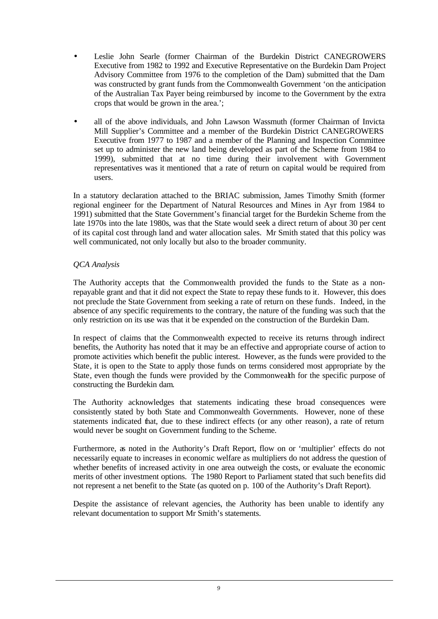- Leslie John Searle (former Chairman of the Burdekin District CANEGROWERS Executive from 1982 to 1992 and Executive Representative on the Burdekin Dam Project Advisory Committee from 1976 to the completion of the Dam) submitted that the Dam was constructed by grant funds from the Commonwealth Government 'on the anticipation of the Australian Tax Payer being reimbursed by income to the Government by the extra crops that would be grown in the area.';
- all of the above individuals, and John Lawson Wassmuth (former Chairman of Invicta Mill Supplier's Committee and a member of the Burdekin District CANEGROWERS Executive from 1977 to 1987 and a member of the Planning and Inspection Committee set up to administer the new land being developed as part of the Scheme from 1984 to 1999), submitted that at no time during their involvement with Government representatives was it mentioned that a rate of return on capital would be required from users.

In a statutory declaration attached to the BRIAC submission, James Timothy Smith (former regional engineer for the Department of Natural Resources and Mines in Ayr from 1984 to 1991) submitted that the State Government's financial target for the Burdekin Scheme from the late 1970s into the late 1980s, was that the State would seek a direct return of about 30 per cent of its capital cost through land and water allocation sales. Mr Smith stated that this policy was well communicated, not only locally but also to the broader community.

# *QCA Analysis*

The Authority accepts that the Commonwealth provided the funds to the State as a nonrepayable grant and that it did not expect the State to repay these funds to it. However, this does not preclude the State Government from seeking a rate of return on these funds. Indeed, in the absence of any specific requirements to the contrary, the nature of the funding was such that the only restriction on its use was that it be expended on the construction of the Burdekin Dam.

In respect of claims that the Commonwealth expected to receive its returns through indirect benefits, the Authority has noted that it may be an effective and appropriate course of action to promote activities which benefit the public interest. However, as the funds were provided to the State, it is open to the State to apply those funds on terms considered most appropriate by the State, even though the funds were provided by the Commonwealth for the specific purpose of constructing the Burdekin dam.

The Authority acknowledges that statements indicating these broad consequences were consistently stated by both State and Commonwealth Governments. However, none of these statements indicated that, due to these indirect effects (or any other reason), a rate of return would never be sought on Government funding to the Scheme.

Furthermore, as noted in the Authority's Draft Report, flow on or 'multiplier' effects do not necessarily equate to increases in economic welfare as multipliers do not address the question of whether benefits of increased activity in one area outweigh the costs, or evaluate the economic merits of other investment options. The 1980 Report to Parliament stated that such benefits did not represent a net benefit to the State (as quoted on p. 100 of the Authority's Draft Report).

Despite the assistance of relevant agencies, the Authority has been unable to identify any relevant documentation to support Mr Smith's statements.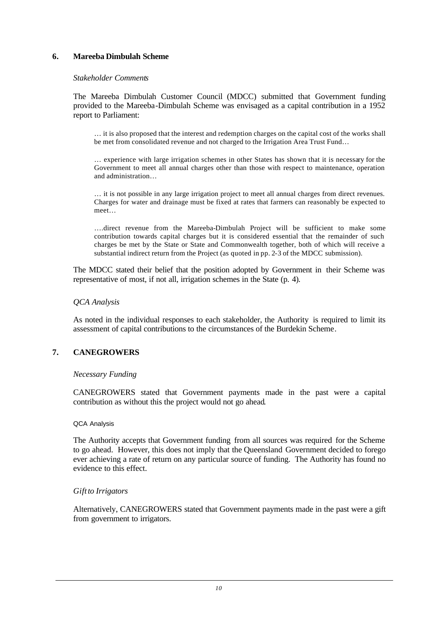# **6. Mareeba Dimbulah Scheme**

### *Stakeholder Comments*

The Mareeba Dimbulah Customer Council (MDCC) submitted that Government funding provided to the Mareeba-Dimbulah Scheme was envisaged as a capital contribution in a 1952 report to Parliament:

… it is also proposed that the interest and redemption charges on the capital cost of the works shall be met from consolidated revenue and not charged to the Irrigation Area Trust Fund…

… experience with large irrigation schemes in other States has shown that it is necessary for the Government to meet all annual charges other than those with respect to maintenance, operation and administration…

… it is not possible in any large irrigation project to meet all annual charges from direct revenues. Charges for water and drainage must be fixed at rates that farmers can reasonably be expected to meet…

….direct revenue from the Mareeba-Dimbulah Project will be sufficient to make some contribution towards capital charges but it is considered essential that the remainder of such charges be met by the State or State and Commonwealth together, both of which will receive a substantial indirect return from the Project (as quoted in pp. 2-3 of the MDCC submission).

The MDCC stated their belief that the position adopted by Government in their Scheme was representative of most, if not all, irrigation schemes in the State (p. 4).

## *QCA Analysis*

As noted in the individual responses to each stakeholder, the Authority is required to limit its assessment of capital contributions to the circumstances of the Burdekin Scheme.

## **7. CANEGROWERS**

### *Necessary Funding*

CANEGROWERS stated that Government payments made in the past were a capital contribution as without this the project would not go ahead.

### QCA Analysis

The Authority accepts that Government funding from all sources was required for the Scheme to go ahead. However, this does not imply that the Queensland Government decided to forego ever achieving a rate of return on any particular source of funding. The Authority has found no evidence to this effect.

## *Gift to Irrigators*

Alternatively, CANEGROWERS stated that Government payments made in the past were a gift from government to irrigators.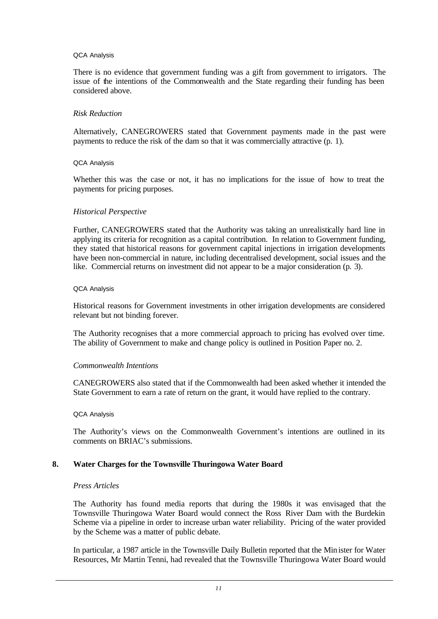### QCA Analysis

There is no evidence that government funding was a gift from government to irrigators. The issue of the intentions of the Commonwealth and the State regarding their funding has been considered above.

### *Risk Reduction*

Alternatively, CANEGROWERS stated that Government payments made in the past were payments to reduce the risk of the dam so that it was commercially attractive (p. 1).

#### QCA Analysis

Whether this was the case or not, it has no implications for the issue of how to treat the payments for pricing purposes.

### *Historical Perspective*

Further, CANEGROWERS stated that the Authority was taking an unrealistically hard line in applying its criteria for recognition as a capital contribution. In relation to Government funding, they stated that historical reasons for government capital injections in irrigation developments have been non-commercial in nature, inc luding decentralised development, social issues and the like. Commercial returns on investment did not appear to be a major consideration (p. 3).

#### QCA Analysis

Historical reasons for Government investments in other irrigation developments are considered relevant but not binding forever.

The Authority recognises that a more commercial approach to pricing has evolved over time. The ability of Government to make and change policy is outlined in Position Paper no. 2.

### *Commonwealth Intentions*

CANEGROWERS also stated that if the Commonwealth had been asked whether it intended the State Government to earn a rate of return on the grant, it would have replied to the contrary.

#### QCA Analysis

The Authority's views on the Commonwealth Government's intentions are outlined in its comments on BRIAC's submissions.

### **8. Water Charges for the Townsville Thuringowa Water Board**

### *Press Articles*

The Authority has found media reports that during the 1980s it was envisaged that the Townsville Thuringowa Water Board would connect the Ross River Dam with the Burdekin Scheme via a pipeline in order to increase urban water reliability. Pricing of the water provided by the Scheme was a matter of public debate.

In particular, a 1987 article in the Townsville Daily Bulletin reported that the Minister for Water Resources, Mr Martin Tenni, had revealed that the Townsville Thuringowa Water Board would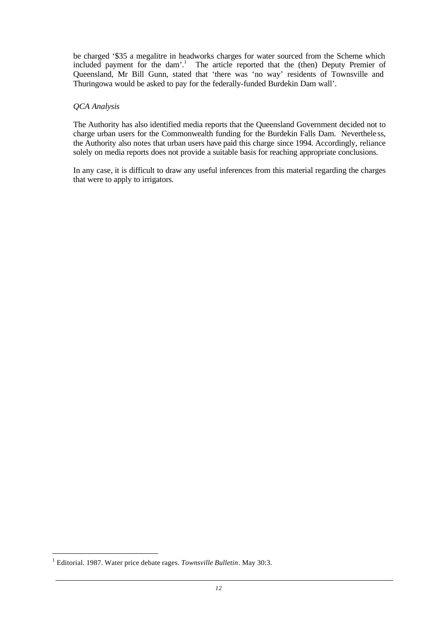be charged '\$35 a megalitre in headworks charges for water sourced from the Scheme which included payment for the dam'.<sup>1</sup> The article reported that the (then) Deputy Premier of Queensland, Mr Bill Gunn, stated that 'there was 'no way' residents of Townsville and Thuringowa would be asked to pay for the federally-funded Burdekin Dam wall'.

### *QCA Analysis*

The Authority has also identified media reports that the Queensland Government decided not to charge urban users for the Commonwealth funding for the Burdekin Falls Dam. Neverthele ss, the Authority also notes that urban users have paid this charge since 1994. Accordingly, reliance solely on media reports does not provide a suitable basis for reaching appropriate conclusions.

In any case, it is difficult to draw any useful inferences from this material regarding the charges that were to apply to irrigators.

l

<sup>1</sup> Editorial. 1987. Water price debate rages. *Townsville Bulletin*. May 30:3.